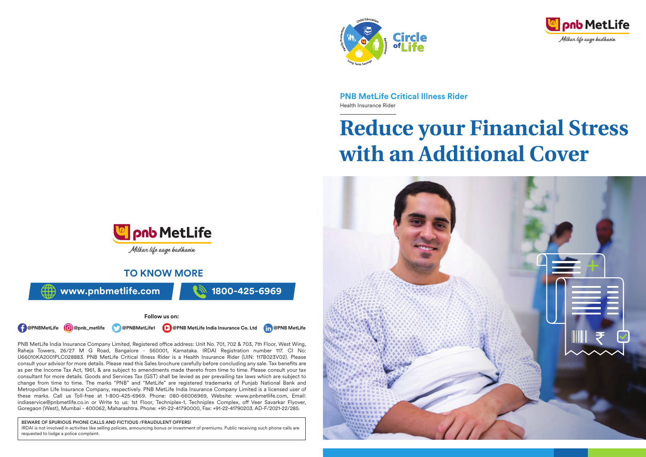



**PNB MetLife Critical Illness Rider** Health Insurance Rider

# **Reduce your Financial Stress with an Additional Cover**





# **TO KNOW MORE**



#### **Follow us on:**

**1. @PNBMetLife @** @pnb\_metlife **@PNBMetLife1 P** @PNB MetLife India Insurance Co. Ltd **P** @PNB MetLife

PNB MetLife India Insurance Company Limited, Registered office address: Unit No. 701, 702 & 703, 7th Floor, West Wing, Raheja Towers, 26/27 M G Road, Bangalore - 560001, Karnataka. IRDAI Registration number 117. CI No: U66010KA2001PLC028883. PNB MetLife Critical Illness Rider is a Health Insurance Rider (UIN: 117B023V02). Please consult your advisor for more details. Please read this Sales brochure carefully before concluding any sale. Tax benefits are as per the Income Tax Act, 1961, & are subject to amendments made thereto from time to time. Please consult your tax consultant for more details. Goods and Services Tax (GST) shall be levied as per prevailing tax laws which are subject to change from time to time. The marks "PNB" and "MetLife" are registered trademarks of Punjab National Bank and Metropolitan Life Insurance Company, respectively. PNB MetLife India Insurance Company Limited is a licensed user of these marks. Call us Toll-free at 1-800-425-6969. Phone: 080-66006969, Website: www.pnbmetlife.com, Email: indiaservice@pnbmetlife.co.in or Write to us: 1st Floor, Techniplex-1, Techniplex Complex, off Veer Savarkar Flyover, Goregaon (West), Mumbai - 400062, Maharashtra. Phone: +91-22-41790000, Fax: +91-22-41790203. AD-F/2021-22/285.

#### BEWARE OF SPURIOUS PHONE CALLS AND FICTIOUS /FRAUDULENT OFFERS!

IRDAI is not involved in activities like selling policies, announcing bonus or investment of premiums. Public receiving such phone calls are requested to lodge a police complaint.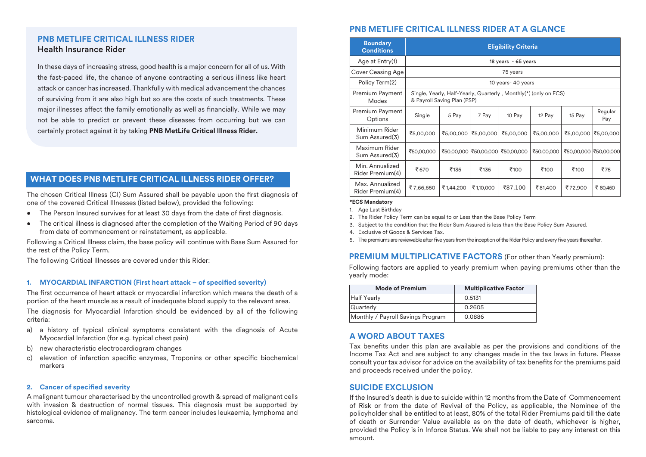## **PNB METLIFE CRITICAL ILLNESS RIDER** Health Insurance Rider

In these days of increasing stress, good health is a major concern for all of us. With the fast-paced life, the chance of anyone contracting a serious illness like heart attack or cancer has increased. Thankfully with medical advancement the chances of surviving from it are also high but so are the costs of such treatments. These major illnesses affect the family emotionally as well as financially. While we may not be able to predict or prevent these diseases from occurring but we can certainly protect against it by taking **PNB MetLife Critical Illness Rider.**

## **WHAT DOES PNB METLIFE CRITICAL ILLNESS RIDER OFFER?**

The chosen Critical Illness (CI) Sum Assured shall be payable upon the first diagnosis of one of the covered Critical Illnesses (listed below), provided the following:

- The Person Insured survives for at least 30 days from the date of first diagnosis.
- The critical illness is diagnosed after the completion of the Waiting Period of 90 days from date of commencement or reinstatement, as applicable.

Following a Critical Illness claim, the base policy will continue with Base Sum Assured for the rest of the Policy Term.

The following Critical Illnesses are covered under this Rider:

#### 1. MYOCARDIAL INFARCTION (First heart attack – of specified severity)

The first occurrence of heart attack or myocardial infarction which means the death of a portion of the heart muscle as a result of inadequate blood supply to the relevant area.

The diagnosis for Myocardial Infarction should be evidenced by all of the following criteria:

- a) a history of typical clinical symptoms consistent with the diagnosis of Acute Myocardial Infarction (for e.g. typical chest pain)
- b) new characteristic electrocardiogram changes
- c) elevation of infarction specific enzymes, Troponins or other specific biochemical markers

## **2.** Cancer of specified severity

A malignant tumour characterised by the uncontrolled growth & spread of malignant cells with invasion & destruction of normal tissues. This diagnosis must be supported by histological evidence of malignancy. The term cancer includes leukaemia, lymphoma and sarcoma.

# **PNB METLIFE CRITICAL ILLNESS RIDER AT A GLANCE**

| <b>Boundary</b><br><b>Conditions</b> | <b>Eligibility Criteria</b>                                                                     |           |                        |            |            |            |                |
|--------------------------------------|-------------------------------------------------------------------------------------------------|-----------|------------------------|------------|------------|------------|----------------|
| Age at Entry(1)                      | 18 years - 65 years                                                                             |           |                        |            |            |            |                |
| Cover Ceasing Age                    | 75 years                                                                                        |           |                        |            |            |            |                |
| Policy Term(2)                       | 10 years- 40 years                                                                              |           |                        |            |            |            |                |
| Premium Payment<br>Modes             | Single, Yearly, Half-Yearly, Quarterly, Monthly(*) (only on ECS)<br>& Payroll Saving Plan (PSP) |           |                        |            |            |            |                |
| Premium Payment<br>Options           | Single                                                                                          | 5 Pay     | 7 Pay                  | 10 Pay     | 12 Pay     | 15 Pay     | Regular<br>Pay |
| Minimum Rider<br>Sum Assured(3)      | ₹5,00,000                                                                                       | ₹5,00,000 | ₹5,00,000              | ₹5,00,000  | ₹5,00,000  | ₹5,00,000  | ₹5,00,000      |
| Maximum Rider<br>Sum Assured(3)      | ₹50,00,000                                                                                      |           | ₹50,00,000  ₹50,00,000 | ₹50,00,000 | ₹50,00,000 | ₹50,00,000 | ₹50,00,000     |
| Min. Annualized<br>Rider Premium(4)  | ₹670                                                                                            | ₹135      | ₹135                   | ₹100       | ₹100       | ₹100       | ₹75            |
| Max. Annualized<br>Rider Premium(4)  | ₹7,66,650                                                                                       | ₹1,44,200 | ₹1,10,000              | ₹87,100    | ₹81,400    | ₹72,900    | ₹80,450        |

#### **\*ECS Mandatory**

1. Age Last Birthday

- 2. The Rider Policy Term can be equal to or Less than the Base Policy Term
- 3. Subject to the condition that the Rider Sum Assured is less than the Base Policy Sum Assured.
- 4. Exclusive of Goods & Services Tax.
- 5. The premiums are reviewable after five years from the inception of the Rider Policy and every five years thereafter.

## **PREMIUM MULTIPLICATIVE FACTORS** (For other than Yearly premium):

Following factors are applied to yearly premium when paying premiums other than the yearly mode:

| <b>Mode of Premium</b>            | <b>Multiplicative Factor</b> |  |  |
|-----------------------------------|------------------------------|--|--|
| Half Yearly                       | 0.5131                       |  |  |
| Quarterly                         | 0.2605                       |  |  |
| Monthly / Payroll Savings Program | 0.0886                       |  |  |

# **A WORD ABOUT TAXES**

Tax benefits under this plan are available as per the provisions and conditions of the Income Tax Act and are subject to any changes made in the tax laws in future. Please consult your tax advisor for advice on the availability of tax benefits for the premiums paid and proceeds received under the policy.

## **SUICIDE EXCLUSION**

If the Insured's death is due to suicide within 12 months from the Date of Commencement of Risk or from the date of Revival of the Policy, as applicable, the Nominee of the policyholder shall be entitled to at least, 80% of the total Rider Premiums paid till the date of death or Surrender Value available as on the date of death, whichever is higher, provided the Policy is in Inforce Status. We shall not be liable to pay any interest on this amount.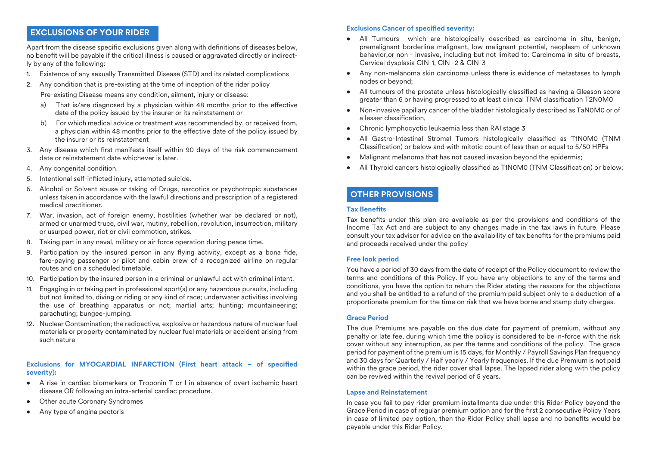## **EXCLUSIONS OF YOUR RIDER**

Apart from the disease specific exclusions given along with definitions of diseases below, no benefit will be payable if the critical illness is caused or aggravated directly or indirectly by any of the following:

- 1. Existence of any sexually Transmitted Disease (STD) and its related complications
- 2. Any condition that is pre-existing at the time of inception of the rider policy
	- Pre-existing Disease means any condition, ailment, injury or disease:
	- a) That is/are diagnosed by a physician within 48 months prior to the effective date of the policy issued by the insurer or its reinstatement or
	- b) For which medical advice or treatment was recommended by, or received from, a physician within 48 months prior to the effective date of the policy issued by the insurer or its reinstatement
- 3. Any disease which first manifests itself within 90 days of the risk commencement date or reinstatement date whichever is later.
- 4. Any congenital condition.
- 5. Intentional self-inflicted injury, attempted suicide.
- 6. Alcohol or Solvent abuse or taking of Drugs, narcotics or psychotropic substances unless taken in accordance with the lawful directions and prescription of a registered medical practitioner.
- 7. War, invasion, act of foreign enemy, hostilities (whether war be declared or not), armed or unarmed truce, civil war, mutiny, rebellion, revolution, insurrection, military or usurped power, riot or civil commotion, strikes.
- 8. Taking part in any naval, military or air force operation during peace time.
- 9. Participation by the insured person in any flying activity, except as a bona fide, fare-paying passenger or pilot and cabin crew of a recognized airline on regular routes and on a scheduled timetable.
- 10. Participation by the insured person in a criminal or unlawful act with criminal intent.
- 11. Engaging in or taking part in professional sport(s) or any hazardous pursuits, including but not limited to, diving or riding or any kind of race; underwater activities involving the use of breathing apparatus or not; martial arts; hunting; mountaineering; parachuting; bungee-jumping.
- 12. Nuclear Contamination; the radioactive, explosive or hazardous nature of nuclear fuel materials or property contaminated by nuclear fuel materials or accident arising from such nature

## **Exclusions for MYOCARDIAL INFARCTION (First heart attack - of specified severity):**

- A rise in cardiac biomarkers or Troponin T or I in absence of overt ischemic heart disease OR following an intra-arterial cardiac procedure.
- Other acute Coronary Syndromes
- Any type of angina pectoris

## **Exclusions Cancer of specified severity:**

- All Tumours which are histologically described as carcinoma in situ, benign, premalignant borderline malignant, low malignant potential, neoplasm of unknown behavior,or non - invasive, including but not limited to: Carcinoma in situ of breasts, Cervical dysplasia CIN-1, CIN -2 & CIN-3
- Any non-melanoma skin carcinoma unless there is evidence of metastases to lymph nodes or beyond;
- All tumours of the prostate unless histologically classified as having a Gleason score greater than 6 or having progressed to at least clinical TNM classification T2N0M0
- Non-invasive papillary cancer of the bladder histologically described as TaN0M0 or of a lesser classification.
- Chronic lymphocyctic leukaemia less than RAI stage 3
- All Gastro-Intestinal Stromal Tumors histologically classified as T1N0M0 (TNM  $\overline{\text{Classification}}$  or below and with mitotic count of less than or equal to 5/50 HPFs
- Malignant melanoma that has not caused invasion beyond the epidermis:
- All Thyroid cancers histologically classified as T1N0M0 (TNM Classification) or below:

## **OTHER PROVISIONS**

## **Tax Benets**

Tax benefits under this plan are available as per the provisions and conditions of the Income Tax Act and are subject to any changes made in the tax laws in future. Please consult your tax advisor for advice on the availability of tax benefits for the premiums paid and proceeds received under the policy

## **Free look period**

You have a period of 30 days from the date of receipt of the Policy document to review the terms and conditions of this Policy. If you have any objections to any of the terms and conditions, you have the option to return the Rider stating the reasons for the objections and you shall be entitled to a refund of the premium paid subject only to a deduction of a proportionate premium for the time on risk that we have borne and stamp duty charges.

## **Grace Period**

The due Premiums are payable on the due date for payment of premium, without any penalty or late fee, during which time the policy is considered to be in-force with the risk cover without any interruption, as per the terms and conditions of the policy. The grace period for payment of the premium is 15 days, for Monthly / Payroll Savings Plan frequency and 30 days for Quarterly / Half yearly / Yearly frequencies. If the due Premium is not paid within the grace period, the rider cover shall lapse. The lapsed rider along with the policy can be revived within the revival period of 5 years.

#### **Lapse and Reinstatement**

In case you fail to pay rider premium installments due under this Rider Policy beyond the Grace Period in case of regular premium option and for the first 2 consecutive Policy Years in case of limited pay option, then the Rider Policy shall lapse and no benefits would be payable under this Rider Policy.